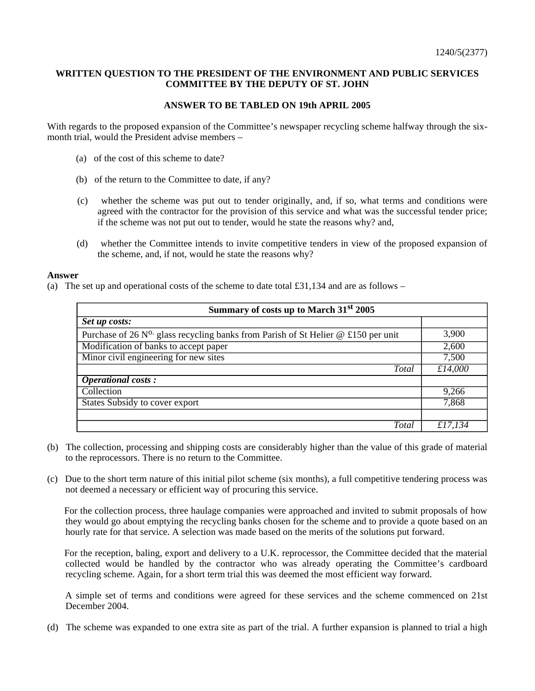## **WRITTEN QUESTION TO THE PRESIDENT OF THE ENVIRONMENT AND PUBLIC SERVICES COMMITTEE BY THE DEPUTY OF ST. JOHN**

## **ANSWER TO BE TABLED ON 19th APRIL 2005**

With regards to the proposed expansion of the Committee's newspaper recycling scheme halfway through the sixmonth trial, would the President advise members –

- (a) of the cost of this scheme to date?
- (b) of the return to the Committee to date, if any?
- (c) whether the scheme was put out to tender originally, and, if so, what terms and conditions were agreed with the contractor for the provision of this service and what was the successful tender price; if the scheme was not put out to tender, would he state the reasons why? and,
- (d) whether the Committee intends to invite competitive tenders in view of the proposed expansion of the scheme, and, if not, would he state the reasons why?

## **Answer**

(a) The set up and operational costs of the scheme to date total  $\pounds 31,134$  and are as follows –

| Summary of costs up to March 31 <sup>st</sup> 2005                                  |         |
|-------------------------------------------------------------------------------------|---------|
| Set up costs:                                                                       |         |
| Purchase of 26 $N^0$ glass recycling banks from Parish of St Helier @ £150 per unit | 3,900   |
| Modification of banks to accept paper                                               | 2,600   |
| Minor civil engineering for new sites                                               | 7,500   |
| Total                                                                               | £14,000 |
| <b>Operational costs:</b>                                                           |         |
| Collection                                                                          | 9,266   |
| States Subsidy to cover export                                                      | 7,868   |
|                                                                                     |         |
| Total                                                                               | £17,134 |

- (b) The collection, processing and shipping costs are considerably higher than the value of this grade of material to the reprocessors. There is no return to the Committee.
- (c) Due to the short term nature of this initial pilot scheme (six months), a full competitive tendering process was not deemed a necessary or efficient way of procuring this service.

 For the collection process, three haulage companies were approached and invited to submit proposals of how they would go about emptying the recycling banks chosen for the scheme and to provide a quote based on an hourly rate for that service. A selection was made based on the merits of the solutions put forward.

 For the reception, baling, export and delivery to a U.K. reprocessor, the Committee decided that the material collected would be handled by the contractor who was already operating the Committee's cardboard recycling scheme. Again, for a short term trial this was deemed the most efficient way forward.

 A simple set of terms and conditions were agreed for these services and the scheme commenced on 21st December 2004.

(d) The scheme was expanded to one extra site as part of the trial. A further expansion is planned to trial a high